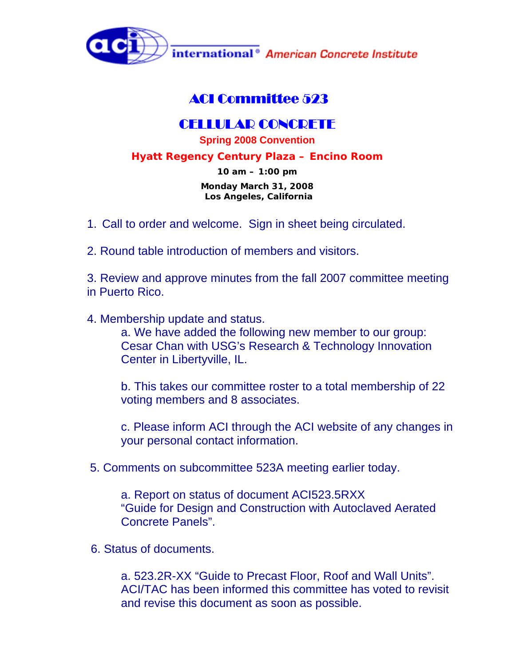

## ACI Committee 523

## CELLULAR CONCRETE

**Spring 2008 Convention**

**Hyatt Regency Century Plaza – Encino Room** 

**10 am – 1:00 pm** 

**Monday March 31, 2008 Los Angeles, California** 

- 1. Call to order and welcome. Sign in sheet being circulated.
- 2. Round table introduction of members and visitors.

3. Review and approve minutes from the fall 2007 committee meeting in Puerto Rico.

4. Membership update and status.

a. We have added the following new member to our group: Cesar Chan with USG's Research & Technology Innovation Center in Libertyville, IL.

b. This takes our committee roster to a total membership of 22 voting members and 8 associates.

c. Please inform ACI through the ACI website of any changes in your personal contact information.

5. Comments on subcommittee 523A meeting earlier today.

a. Report on status of document ACI523.5RXX "Guide for Design and Construction with Autoclaved Aerated Concrete Panels".

6. Status of documents.

a. 523.2R-XX "Guide to Precast Floor, Roof and Wall Units". ACI/TAC has been informed this committee has voted to revisit and revise this document as soon as possible.